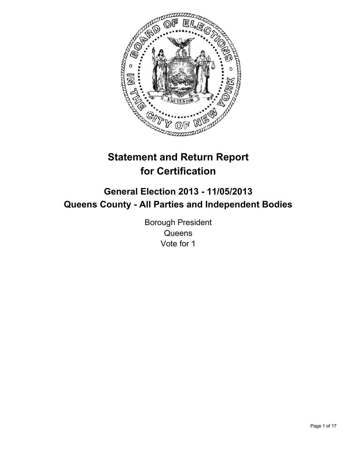

# **Statement and Return Report for Certification**

## **General Election 2013 - 11/05/2013 Queens County - All Parties and Independent Bodies**

Borough President **Queens** Vote for 1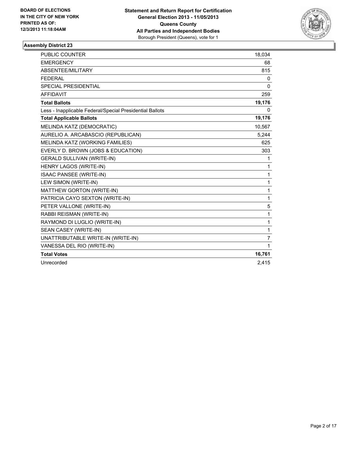

| PUBLIC COUNTER                                           | 18,034       |
|----------------------------------------------------------|--------------|
| <b>EMERGENCY</b>                                         | 68           |
| ABSENTEE/MILITARY                                        | 815          |
| <b>FEDERAL</b>                                           | 0            |
| <b>SPECIAL PRESIDENTIAL</b>                              | 0            |
| <b>AFFIDAVIT</b>                                         | 259          |
| <b>Total Ballots</b>                                     | 19,176       |
| Less - Inapplicable Federal/Special Presidential Ballots | 0            |
| <b>Total Applicable Ballots</b>                          | 19,176       |
| MELINDA KATZ (DEMOCRATIC)                                | 10,567       |
| AURELIO A. ARCABASCIO (REPUBLICAN)                       | 5,244        |
| MELINDA KATZ (WORKING FAMILIES)                          | 625          |
| EVERLY D. BROWN (JOBS & EDUCATION)                       | 303          |
| <b>GERALD SULLIVAN (WRITE-IN)</b>                        | 1            |
| HENRY LAGOS (WRITE-IN)                                   | $\mathbf{1}$ |
| <b>ISAAC PANSEE (WRITE-IN)</b>                           | 1            |
| LEW SIMON (WRITE-IN)                                     | $\mathbf{1}$ |
| MATTHEW GORTON (WRITE-IN)                                | 1            |
| PATRICIA CAYO SEXTON (WRITE-IN)                          | $\mathbf{1}$ |
| PETER VALLONE (WRITE-IN)                                 | 5            |
| RABBI REISMAN (WRITE-IN)                                 | 1            |
| RAYMOND DI LUGLIO (WRITE-IN)                             | 1            |
| SEAN CASEY (WRITE-IN)                                    | $\mathbf{1}$ |
| UNATTRIBUTABLE WRITE-IN (WRITE-IN)                       | 7            |
| VANESSA DEL RIO (WRITE-IN)                               | $\mathbf{1}$ |
| <b>Total Votes</b>                                       | 16,761       |
| Unrecorded                                               | 2,415        |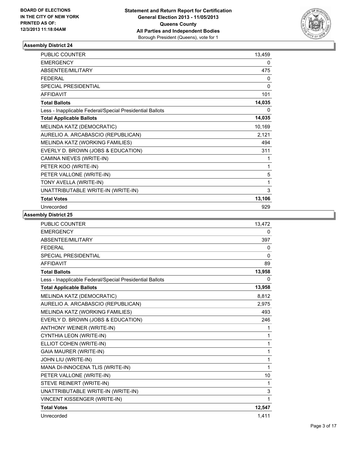

| <b>PUBLIC COUNTER</b>                                    | 13,459 |
|----------------------------------------------------------|--------|
| <b>EMERGENCY</b>                                         | 0      |
| ABSENTEE/MILITARY                                        | 475    |
| <b>FEDERAL</b>                                           | 0      |
| SPECIAL PRESIDENTIAL                                     | 0      |
| <b>AFFIDAVIT</b>                                         | 101    |
| <b>Total Ballots</b>                                     | 14,035 |
| Less - Inapplicable Federal/Special Presidential Ballots | 0      |
| <b>Total Applicable Ballots</b>                          | 14,035 |
| MELINDA KATZ (DEMOCRATIC)                                | 10,169 |
| AURELIO A. ARCABASCIO (REPUBLICAN)                       | 2,121  |
| MELINDA KATZ (WORKING FAMILIES)                          | 494    |
| EVERLY D. BROWN (JOBS & EDUCATION)                       | 311    |
| CAMINA NIEVES (WRITE-IN)                                 | 1      |
| PETER KOO (WRITE-IN)                                     | 1      |
| PETER VALLONE (WRITE-IN)                                 | 5      |
| TONY AVELLA (WRITE-IN)                                   | 1      |
| UNATTRIBUTABLE WRITE-IN (WRITE-IN)                       | 3      |
| <b>Total Votes</b>                                       | 13,106 |
| Unrecorded                                               | 929    |

| <b>PUBLIC COUNTER</b>                                    | 13,472       |
|----------------------------------------------------------|--------------|
| <b>EMERGENCY</b>                                         | 0            |
| ABSENTEE/MILITARY                                        | 397          |
| <b>FEDERAL</b>                                           | 0            |
| <b>SPECIAL PRESIDENTIAL</b>                              | $\mathbf{0}$ |
| <b>AFFIDAVIT</b>                                         | 89           |
| <b>Total Ballots</b>                                     | 13,958       |
| Less - Inapplicable Federal/Special Presidential Ballots | 0            |
| <b>Total Applicable Ballots</b>                          | 13,958       |
| MELINDA KATZ (DEMOCRATIC)                                | 8,812        |
| AURELIO A. ARCABASCIO (REPUBLICAN)                       | 2,975        |
| MELINDA KATZ (WORKING FAMILIES)                          | 493          |
| EVERLY D. BROWN (JOBS & EDUCATION)                       | 246          |
| <b>ANTHONY WEINER (WRITE-IN)</b>                         | 1            |
| CYNTHIA LEON (WRITE-IN)                                  | 1            |
| ELLIOT COHEN (WRITE-IN)                                  | 1            |
| <b>GAIA MAURER (WRITE-IN)</b>                            | $\mathbf{1}$ |
| JOHN LIU (WRITE-IN)                                      | 1            |
| MANA DI-INNOCENA TLIS (WRITE-IN)                         | $\mathbf{1}$ |
| PETER VALLONE (WRITE-IN)                                 | 10           |
| STEVE REINERT (WRITE-IN)                                 | 1            |
| UNATTRIBUTABLE WRITE-IN (WRITE-IN)                       | 3            |
| VINCENT KISSENGER (WRITE-IN)                             | 1            |
| <b>Total Votes</b>                                       | 12,547       |
| Unrecorded                                               | 1,411        |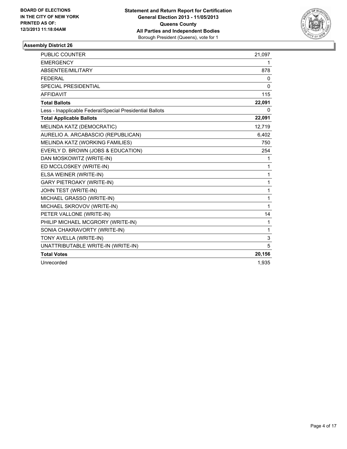

| PUBLIC COUNTER                                           | 21,097       |
|----------------------------------------------------------|--------------|
| <b>EMERGENCY</b>                                         | 1            |
| ABSENTEE/MILITARY                                        | 878          |
| <b>FEDERAL</b>                                           | 0            |
| <b>SPECIAL PRESIDENTIAL</b>                              | $\mathbf{0}$ |
| <b>AFFIDAVIT</b>                                         | 115          |
| <b>Total Ballots</b>                                     | 22,091       |
| Less - Inapplicable Federal/Special Presidential Ballots | 0            |
| <b>Total Applicable Ballots</b>                          | 22,091       |
| MELINDA KATZ (DEMOCRATIC)                                | 12,719       |
| AURELIO A. ARCABASCIO (REPUBLICAN)                       | 6,402        |
| MELINDA KATZ (WORKING FAMILIES)                          | 750          |
| EVERLY D. BROWN (JOBS & EDUCATION)                       | 254          |
| DAN MOSKOWITZ (WRITE-IN)                                 | 1            |
| ED MCCLOSKEY (WRITE-IN)                                  | $\mathbf{1}$ |
| ELSA WEINER (WRITE-IN)                                   | 1            |
| <b>GARY PIETROAKY (WRITE-IN)</b>                         | 1            |
| JOHN TEST (WRITE-IN)                                     | 1            |
| MICHAEL GRASSO (WRITE-IN)                                | $\mathbf{1}$ |
| MICHAEL SKROVOV (WRITE-IN)                               | 1            |
| PETER VALLONE (WRITE-IN)                                 | 14           |
| PHILIP MICHAEL MCGRORY (WRITE-IN)                        | 1            |
| SONIA CHAKRAVORTY (WRITE-IN)                             | 1            |
| TONY AVELLA (WRITE-IN)                                   | 3            |
| UNATTRIBUTABLE WRITE-IN (WRITE-IN)                       | 5            |
| <b>Total Votes</b>                                       | 20,156       |
| Unrecorded                                               | 1,935        |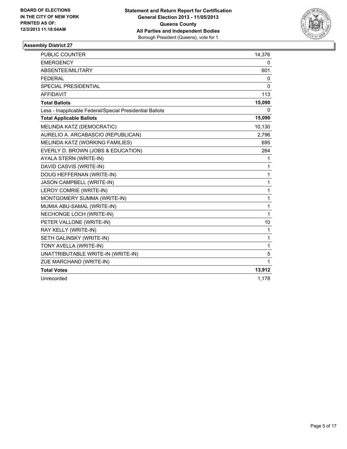

| <b>PUBLIC COUNTER</b>                                    | 14,376       |
|----------------------------------------------------------|--------------|
| <b>EMERGENCY</b>                                         | 0            |
| ABSENTEE/MILITARY                                        | 601          |
| <b>FEDERAL</b>                                           | 0            |
| <b>SPECIAL PRESIDENTIAL</b>                              | 0            |
| <b>AFFIDAVIT</b>                                         | 113          |
| <b>Total Ballots</b>                                     | 15,090       |
| Less - Inapplicable Federal/Special Presidential Ballots | 0            |
| <b>Total Applicable Ballots</b>                          | 15,090       |
| MELINDA KATZ (DEMOCRATIC)                                | 10,130       |
| AURELIO A. ARCABASCIO (REPUBLICAN)                       | 2,796        |
| MELINDA KATZ (WORKING FAMILIES)                          | 695          |
| EVERLY D. BROWN (JOBS & EDUCATION)                       | 264          |
| AYALA STERN (WRITE-IN)                                   | 1            |
| DAVID CASVIS (WRITE-IN)                                  | 1            |
| DOUG HEFFERNAN (WRITE-IN)                                | $\mathbf{1}$ |
| JASON CAMPBELL (WRITE-IN)                                | 1            |
| LEROY COMRIE (WRITE-IN)                                  | 1            |
| MONTGOMERY SUMMA (WRITE-IN)                              | $\mathbf{1}$ |
| MUMIA ABU-SAMAL (WRITE-IN)                               | $\mathbf{1}$ |
| NECHONGE LOCH (WRITE-IN)                                 | $\mathbf{1}$ |
| PETER VALLONE (WRITE-IN)                                 | 10           |
| RAY KELLY (WRITE-IN)                                     | 1            |
| SETH GALINSKY (WRITE-IN)                                 | 1            |
| TONY AVELLA (WRITE-IN)                                   | 1            |
| UNATTRIBUTABLE WRITE-IN (WRITE-IN)                       | 5            |
| ZUE MARCHAND (WRITE-IN)                                  | 1            |
| <b>Total Votes</b>                                       | 13,912       |
| Unrecorded                                               | 1,178        |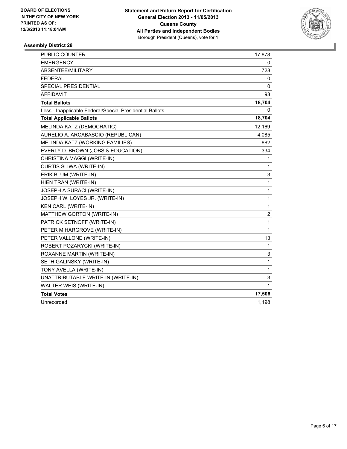

| <b>PUBLIC COUNTER</b>                                    | 17,878         |
|----------------------------------------------------------|----------------|
| <b>EMERGENCY</b>                                         | 0              |
| ABSENTEE/MILITARY                                        | 728            |
| <b>FEDERAL</b>                                           | 0              |
| <b>SPECIAL PRESIDENTIAL</b>                              | 0              |
| <b>AFFIDAVIT</b>                                         | 98             |
| <b>Total Ballots</b>                                     | 18,704         |
| Less - Inapplicable Federal/Special Presidential Ballots | 0              |
| <b>Total Applicable Ballots</b>                          | 18,704         |
| MELINDA KATZ (DEMOCRATIC)                                | 12,169         |
| AURELIO A. ARCABASCIO (REPUBLICAN)                       | 4,085          |
| MELINDA KATZ (WORKING FAMILIES)                          | 882            |
| EVERLY D. BROWN (JOBS & EDUCATION)                       | 334            |
| CHRISTINA MAGGI (WRITE-IN)                               | 1              |
| <b>CURTIS SLIWA (WRITE-IN)</b>                           | $\mathbf{1}$   |
| ERIK BLUM (WRITE-IN)                                     | 3              |
| HIEN TRAN (WRITE-IN)                                     | 1              |
| JOSEPH A SURACI (WRITE-IN)                               | 1              |
| JOSEPH W. LOYES JR. (WRITE-IN)                           | $\mathbf{1}$   |
| <b>KEN CARL (WRITE-IN)</b>                               | $\mathbf 1$    |
| MATTHEW GORTON (WRITE-IN)                                | $\overline{c}$ |
| PATRICK SETNOFF (WRITE-IN)                               | $\mathbf 1$    |
| PETER M HARGROVE (WRITE-IN)                              | $\mathbf{1}$   |
| PETER VALLONE (WRITE-IN)                                 | 13             |
| ROBERT POZARYCKI (WRITE-IN)                              | 1              |
| ROXANNE MARTIN (WRITE-IN)                                | 3              |
| SETH GALINSKY (WRITE-IN)                                 | $\mathbf{1}$   |
| TONY AVELLA (WRITE-IN)                                   | $\mathbf{1}$   |
| UNATTRIBUTABLE WRITE-IN (WRITE-IN)                       | 3              |
| WALTER WEIS (WRITE-IN)                                   | 1              |
| <b>Total Votes</b>                                       | 17,506         |
| Unrecorded                                               | 1,198          |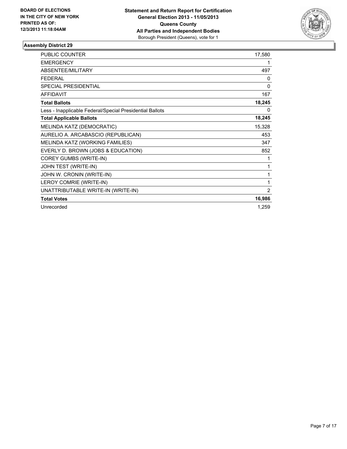

| <b>PUBLIC COUNTER</b>                                    | 17,580 |
|----------------------------------------------------------|--------|
| <b>EMERGENCY</b>                                         | 1      |
| ABSENTEE/MILITARY                                        | 497    |
| <b>FEDERAL</b>                                           | 0      |
| SPECIAL PRESIDENTIAL                                     | 0      |
| <b>AFFIDAVIT</b>                                         | 167    |
| <b>Total Ballots</b>                                     | 18,245 |
| Less - Inapplicable Federal/Special Presidential Ballots | 0      |
| <b>Total Applicable Ballots</b>                          | 18,245 |
| MELINDA KATZ (DEMOCRATIC)                                | 15,328 |
| AURELIO A. ARCABASCIO (REPUBLICAN)                       | 453    |
| MELINDA KATZ (WORKING FAMILIES)                          | 347    |
| EVERLY D. BROWN (JOBS & EDUCATION)                       | 852    |
| <b>COREY GUMBS (WRITE-IN)</b>                            | 1      |
| JOHN TEST (WRITE-IN)                                     | 1      |
| JOHN W. CRONIN (WRITE-IN)                                | 1      |
| LEROY COMRIE (WRITE-IN)                                  | 1      |
| UNATTRIBUTABLE WRITE-IN (WRITE-IN)                       | 2      |
| <b>Total Votes</b>                                       | 16,986 |
| Unrecorded                                               | 1,259  |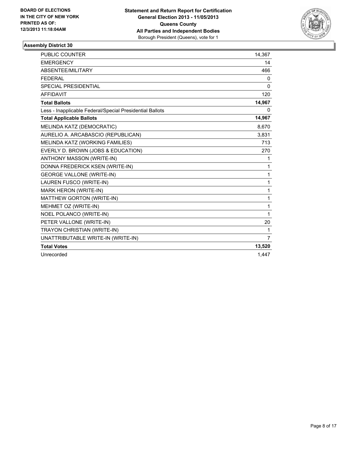

| <b>PUBLIC COUNTER</b>                                    | 14,367         |
|----------------------------------------------------------|----------------|
| <b>EMERGENCY</b>                                         | 14             |
| ABSENTEE/MILITARY                                        | 466            |
| <b>FEDERAL</b>                                           | 0              |
| SPECIAL PRESIDENTIAL                                     | 0              |
| <b>AFFIDAVIT</b>                                         | 120            |
| <b>Total Ballots</b>                                     | 14,967         |
| Less - Inapplicable Federal/Special Presidential Ballots | 0              |
| <b>Total Applicable Ballots</b>                          | 14,967         |
| MELINDA KATZ (DEMOCRATIC)                                | 8,670          |
| AURELIO A. ARCABASCIO (REPUBLICAN)                       | 3,831          |
| MELINDA KATZ (WORKING FAMILIES)                          | 713            |
| EVERLY D. BROWN (JOBS & EDUCATION)                       | 270            |
| <b>ANTHONY MASSON (WRITE-IN)</b>                         | 1              |
| DONNA FREDERICK KSEN (WRITE-IN)                          | 1              |
| <b>GEORGE VALLONE (WRITE-IN)</b>                         | 1              |
| LAUREN FUSCO (WRITE-IN)                                  | 1              |
| MARK HERON (WRITE-IN)                                    | 1              |
| MATTHEW GORTON (WRITE-IN)                                | 1              |
| MEHMET OZ (WRITE-IN)                                     | 1              |
| <b>NOEL POLANCO (WRITE-IN)</b>                           | 1              |
| PETER VALLONE (WRITE-IN)                                 | 20             |
| TRAYON CHRISTIAN (WRITE-IN)                              | $\mathbf 1$    |
| UNATTRIBUTABLE WRITE-IN (WRITE-IN)                       | $\overline{7}$ |
| <b>Total Votes</b>                                       | 13,520         |
| Unrecorded                                               | 1,447          |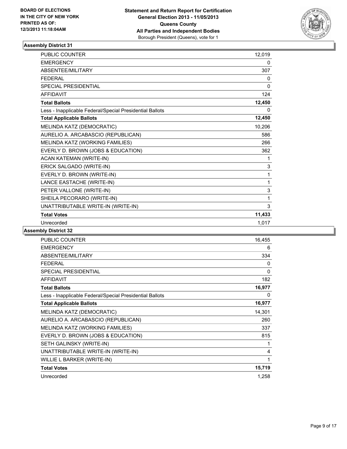

| <b>PUBLIC COUNTER</b>                                    | 12,019   |
|----------------------------------------------------------|----------|
| <b>EMERGENCY</b>                                         | 0        |
| ABSENTEE/MILITARY                                        | 307      |
| <b>FEDERAL</b>                                           | 0        |
| <b>SPECIAL PRESIDENTIAL</b>                              | $\Omega$ |
| <b>AFFIDAVIT</b>                                         | 124      |
| <b>Total Ballots</b>                                     | 12,450   |
| Less - Inapplicable Federal/Special Presidential Ballots | 0        |
| <b>Total Applicable Ballots</b>                          | 12,450   |
| MELINDA KATZ (DEMOCRATIC)                                | 10,206   |
| AURELIO A. ARCABASCIO (REPUBLICAN)                       | 586      |
| MELINDA KATZ (WORKING FAMILIES)                          | 266      |
| EVERLY D. BROWN (JOBS & EDUCATION)                       | 362      |
| ACAN KATEMAN (WRITE-IN)                                  | 1        |
| ERICK SALGADO (WRITE-IN)                                 | 3        |
| EVERLY D. BROWN (WRITE-IN)                               | 1        |
| LANCE EASTACHE (WRITE-IN)                                | 1        |
| PETER VALLONE (WRITE-IN)                                 | 3        |
| SHEILA PECORARO (WRITE-IN)                               | 1        |
| UNATTRIBUTABLE WRITE-IN (WRITE-IN)                       | 3        |
| <b>Total Votes</b>                                       | 11,433   |
| Unrecorded                                               | 1.017    |

| <b>PUBLIC COUNTER</b>                                    | 16,455       |
|----------------------------------------------------------|--------------|
| <b>EMERGENCY</b>                                         | 6            |
| ABSENTEE/MILITARY                                        | 334          |
| <b>FEDERAL</b>                                           | 0            |
| <b>SPECIAL PRESIDENTIAL</b>                              | 0            |
| <b>AFFIDAVIT</b>                                         | 182          |
| <b>Total Ballots</b>                                     | 16,977       |
| Less - Inapplicable Federal/Special Presidential Ballots | $\mathbf{0}$ |
| <b>Total Applicable Ballots</b>                          | 16,977       |
| MELINDA KATZ (DEMOCRATIC)                                | 14,301       |
| AURELIO A. ARCABASCIO (REPUBLICAN)                       | 260          |
| MELINDA KATZ (WORKING FAMILIES)                          | 337          |
| EVERLY D. BROWN (JOBS & EDUCATION)                       | 815          |
| SETH GALINSKY (WRITE-IN)                                 | 1            |
| UNATTRIBUTABLE WRITE-IN (WRITE-IN)                       | 4            |
| WILLIE L BARKER (WRITE-IN)                               | 1            |
| <b>Total Votes</b>                                       | 15,719       |
| Unrecorded                                               | 1,258        |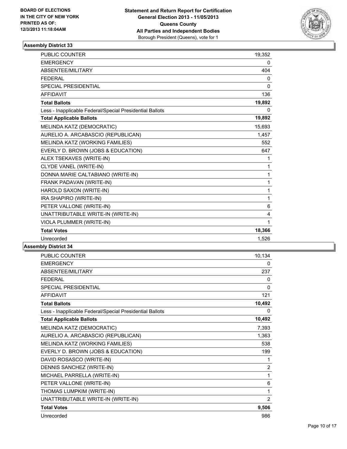

| <b>PUBLIC COUNTER</b>                                    | 19,352       |
|----------------------------------------------------------|--------------|
| <b>EMERGENCY</b>                                         | 0            |
| ABSENTEE/MILITARY                                        | 404          |
| <b>FEDERAL</b>                                           | 0            |
| <b>SPECIAL PRESIDENTIAL</b>                              | $\mathbf{0}$ |
| <b>AFFIDAVIT</b>                                         | 136          |
| <b>Total Ballots</b>                                     | 19,892       |
| Less - Inapplicable Federal/Special Presidential Ballots | 0            |
| <b>Total Applicable Ballots</b>                          | 19,892       |
| MELINDA KATZ (DEMOCRATIC)                                | 15,693       |
| AURELIO A. ARCABASCIO (REPUBLICAN)                       | 1,457        |
| MELINDA KATZ (WORKING FAMILIES)                          | 552          |
| EVERLY D. BROWN (JOBS & EDUCATION)                       | 647          |
| ALEX TSEKAVES (WRITE-IN)                                 | 1            |
| CLYDE VANEL (WRITE-IN)                                   | 1            |
| DONNA MARIE CALTABIANO (WRITE-IN)                        | $\mathbf 1$  |
| FRANK PADAVAN (WRITE-IN)                                 | $\mathbf 1$  |
| HAROLD SAXON (WRITE-IN)                                  | 1            |
| IRA SHAPIRO (WRITE-IN)                                   | 1            |
| PETER VALLONE (WRITE-IN)                                 | 6            |
| UNATTRIBUTABLE WRITE-IN (WRITE-IN)                       | 4            |
| VIOLA PLUMMER (WRITE-IN)                                 | 1            |
| <b>Total Votes</b>                                       | 18,366       |
| Unrecorded                                               | 1,526        |

| <b>PUBLIC COUNTER</b>                                    | 10,134         |
|----------------------------------------------------------|----------------|
| <b>EMERGENCY</b>                                         | 0              |
| ABSENTEE/MILITARY                                        | 237            |
| <b>FFDFRAI</b>                                           | 0              |
| <b>SPECIAL PRESIDENTIAL</b>                              | 0              |
| <b>AFFIDAVIT</b>                                         | 121            |
| <b>Total Ballots</b>                                     | 10,492         |
| Less - Inapplicable Federal/Special Presidential Ballots | 0              |
| <b>Total Applicable Ballots</b>                          | 10,492         |
| MELINDA KATZ (DEMOCRATIC)                                | 7,393          |
| AURELIO A. ARCABASCIO (REPUBLICAN)                       | 1,363          |
| MELINDA KATZ (WORKING FAMILIES)                          | 538            |
| EVERLY D. BROWN (JOBS & EDUCATION)                       | 199            |
| DAVID ROSASCO (WRITE-IN)                                 | 1              |
| DENNIS SANCHEZ (WRITE-IN)                                | $\overline{2}$ |
| MICHAEL PARRELLA (WRITE-IN)                              | 1              |
| PETER VALLONE (WRITE-IN)                                 | 6              |
| THOMAS LUMPKIM (WRITE-IN)                                | 1              |
| UNATTRIBUTABLE WRITE-IN (WRITE-IN)                       | 2              |
| <b>Total Votes</b>                                       | 9,506          |
| Unrecorded                                               | 986            |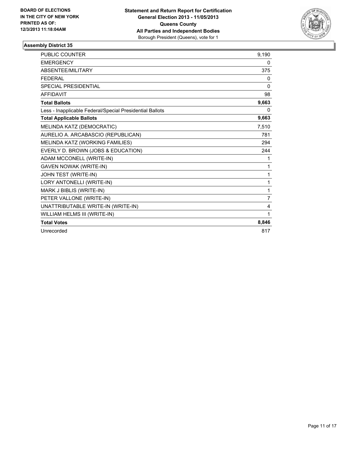

| <b>PUBLIC COUNTER</b>                                    | 9,190    |
|----------------------------------------------------------|----------|
| <b>EMERGENCY</b>                                         | 0        |
| ABSENTEE/MILITARY                                        | 375      |
| <b>FEDERAL</b>                                           | 0        |
| <b>SPECIAL PRESIDENTIAL</b>                              | $\Omega$ |
| <b>AFFIDAVIT</b>                                         | 98       |
| <b>Total Ballots</b>                                     | 9,663    |
| Less - Inapplicable Federal/Special Presidential Ballots | 0        |
| <b>Total Applicable Ballots</b>                          | 9,663    |
| MELINDA KATZ (DEMOCRATIC)                                | 7,510    |
| AURELIO A. ARCABASCIO (REPUBLICAN)                       | 781      |
| MELINDA KATZ (WORKING FAMILIES)                          | 294      |
| EVERLY D. BROWN (JOBS & EDUCATION)                       | 244      |
| ADAM MCCONELL (WRITE-IN)                                 | 1        |
| <b>GAVEN NOWAK (WRITE-IN)</b>                            | 1        |
| JOHN TEST (WRITE-IN)                                     | 1        |
| LORY ANTONELLI (WRITE-IN)                                | 1        |
| MARK J BIBLIS (WRITE-IN)                                 | 1        |
| PETER VALLONE (WRITE-IN)                                 | 7        |
| UNATTRIBUTABLE WRITE-IN (WRITE-IN)                       | 4        |
| WILLIAM HELMS III (WRITE-IN)                             | 1        |
| <b>Total Votes</b>                                       | 8,846    |
| Unrecorded                                               | 817      |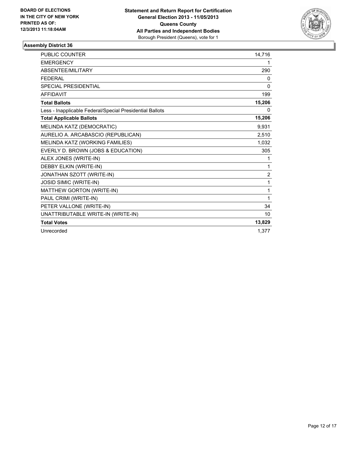

| <b>PUBLIC COUNTER</b>                                    | 14,716         |
|----------------------------------------------------------|----------------|
| <b>EMERGENCY</b>                                         | 1              |
| ABSENTEE/MILITARY                                        | 290            |
| <b>FEDERAL</b>                                           | 0              |
| <b>SPECIAL PRESIDENTIAL</b>                              | 0              |
| <b>AFFIDAVIT</b>                                         | 199            |
| <b>Total Ballots</b>                                     | 15,206         |
| Less - Inapplicable Federal/Special Presidential Ballots | 0              |
| <b>Total Applicable Ballots</b>                          | 15,206         |
| MELINDA KATZ (DEMOCRATIC)                                | 9,931          |
| AURELIO A. ARCABASCIO (REPUBLICAN)                       | 2,510          |
| MELINDA KATZ (WORKING FAMILIES)                          | 1,032          |
| EVERLY D. BROWN (JOBS & EDUCATION)                       | 305            |
| ALEX JONES (WRITE-IN)                                    | 1              |
| DEBBY ELKIN (WRITE-IN)                                   | 1              |
| JONATHAN SZOTT (WRITE-IN)                                | $\overline{2}$ |
| JOSID SIMIC (WRITE-IN)                                   | 1              |
| MATTHEW GORTON (WRITE-IN)                                | 1              |
| PAUL CRIMI (WRITE-IN)                                    | 1              |
| PETER VALLONE (WRITE-IN)                                 | 34             |
| UNATTRIBUTABLE WRITE-IN (WRITE-IN)                       | 10             |
| <b>Total Votes</b>                                       | 13,829         |
| Unrecorded                                               | 1,377          |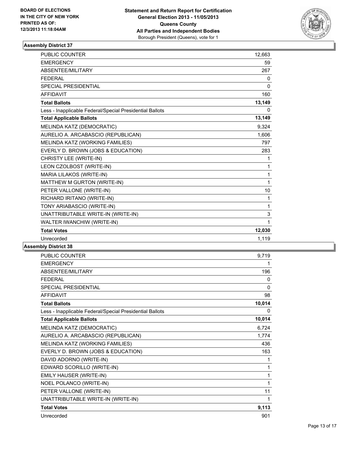

| <b>PUBLIC COUNTER</b>                                    | 12,663       |
|----------------------------------------------------------|--------------|
| <b>EMERGENCY</b>                                         | 59           |
| ABSENTEE/MILITARY                                        | 267          |
| <b>FEDERAL</b>                                           | 0            |
| <b>SPECIAL PRESIDENTIAL</b>                              | $\mathbf{0}$ |
| <b>AFFIDAVIT</b>                                         | 160          |
| <b>Total Ballots</b>                                     | 13,149       |
| Less - Inapplicable Federal/Special Presidential Ballots | 0            |
| <b>Total Applicable Ballots</b>                          | 13,149       |
| MELINDA KATZ (DEMOCRATIC)                                | 9,324        |
| AURELIO A. ARCABASCIO (REPUBLICAN)                       | 1,606        |
| MELINDA KATZ (WORKING FAMILIES)                          | 797          |
| EVERLY D. BROWN (JOBS & EDUCATION)                       | 283          |
| CHRISTY LEE (WRITE-IN)                                   | 1            |
| LEON CZOLBOST (WRITE-IN)                                 | $\mathbf{1}$ |
| MARIA LILAKOS (WRITE-IN)                                 | $\mathbf 1$  |
| MATTHEW M GURTON (WRITE-IN)                              | $\mathbf{1}$ |
| PETER VALLONE (WRITE-IN)                                 | 10           |
| RICHARD IRITANO (WRITE-IN)                               | 1            |
| TONY ARIABASCIO (WRITE-IN)                               | 1            |
| UNATTRIBUTABLE WRITE-IN (WRITE-IN)                       | 3            |
| WALTER IWANCHIW (WRITE-IN)                               | 1            |
| <b>Total Votes</b>                                       | 12,030       |
| Unrecorded                                               | 1,119        |

| <b>PUBLIC COUNTER</b>                                    | 9,719        |
|----------------------------------------------------------|--------------|
| <b>EMERGENCY</b>                                         | 1            |
| ABSENTEE/MILITARY                                        | 196          |
| <b>FFDFRAI</b>                                           | 0            |
| <b>SPECIAL PRESIDENTIAL</b>                              | $\mathbf{0}$ |
| <b>AFFIDAVIT</b>                                         | 98           |
| <b>Total Ballots</b>                                     | 10,014       |
| Less - Inapplicable Federal/Special Presidential Ballots | 0            |
| <b>Total Applicable Ballots</b>                          | 10,014       |
| MELINDA KATZ (DEMOCRATIC)                                | 6,724        |
| AURELIO A. ARCABASCIO (REPUBLICAN)                       | 1,774        |
| MELINDA KATZ (WORKING FAMILIES)                          | 436          |
| EVERLY D. BROWN (JOBS & EDUCATION)                       | 163          |
| DAVID ADORNO (WRITE-IN)                                  | 1            |
| EDWARD SCORILLO (WRITE-IN)                               | 1            |
| EMILY HAUSER (WRITE-IN)                                  | 1            |
| NOEL POLANCO (WRITE-IN)                                  | 1            |
| PETER VALLONE (WRITE-IN)                                 | 11           |
| UNATTRIBUTABLE WRITE-IN (WRITE-IN)                       | 1            |
| <b>Total Votes</b>                                       | 9,113        |
| Unrecorded                                               | 901          |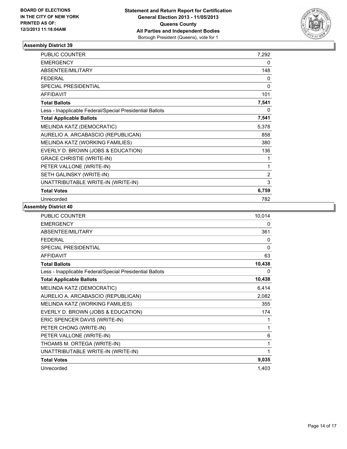

| <b>PUBLIC COUNTER</b>                                    | 7,292          |
|----------------------------------------------------------|----------------|
| <b>EMERGENCY</b>                                         | 0              |
| ABSENTEE/MILITARY                                        | 148            |
| <b>FEDERAL</b>                                           | 0              |
| SPECIAL PRESIDENTIAL                                     | 0              |
| <b>AFFIDAVIT</b>                                         | 101            |
| <b>Total Ballots</b>                                     | 7,541          |
| Less - Inapplicable Federal/Special Presidential Ballots | 0              |
| <b>Total Applicable Ballots</b>                          | 7,541          |
| MELINDA KATZ (DEMOCRATIC)                                | 5,378          |
| AURELIO A. ARCABASCIO (REPUBLICAN)                       | 858            |
| MELINDA KATZ (WORKING FAMILIES)                          | 380            |
| EVERLY D. BROWN (JOBS & EDUCATION)                       | 136            |
| <b>GRACE CHRISTIE (WRITE-IN)</b>                         | 1              |
| PETER VALLONE (WRITE-IN)                                 | 1              |
| SETH GALINSKY (WRITE-IN)                                 | $\overline{2}$ |
| UNATTRIBUTABLE WRITE-IN (WRITE-IN)                       | 3              |
| <b>Total Votes</b>                                       | 6,759          |
| Unrecorded                                               | 782            |

| PUBLIC COUNTER                                           | 10,014       |
|----------------------------------------------------------|--------------|
| <b>EMERGENCY</b>                                         | 0            |
| ABSENTEE/MILITARY                                        | 361          |
| <b>FFDFRAL</b>                                           | 0            |
| <b>SPECIAL PRESIDENTIAL</b>                              | $\mathbf{0}$ |
| <b>AFFIDAVIT</b>                                         | 63           |
| <b>Total Ballots</b>                                     | 10,438       |
| Less - Inapplicable Federal/Special Presidential Ballots | 0            |
| <b>Total Applicable Ballots</b>                          | 10,438       |
| MELINDA KATZ (DEMOCRATIC)                                | 6,414        |
| AURELIO A. ARCABASCIO (REPUBLICAN)                       | 2,082        |
| MELINDA KATZ (WORKING FAMILIES)                          | 355          |
| EVERLY D. BROWN (JOBS & EDUCATION)                       | 174          |
| ERIC SPENCER DAVIS (WRITE-IN)                            | 1            |
| PETER CHONG (WRITE-IN)                                   | 1            |
| PETER VALLONE (WRITE-IN)                                 | 6            |
| THOAMS M. ORTEGA (WRITE-IN)                              | 1            |
| UNATTRIBUTABLE WRITE-IN (WRITE-IN)                       | 1            |
| <b>Total Votes</b>                                       | 9,035        |
| Unrecorded                                               | 1,403        |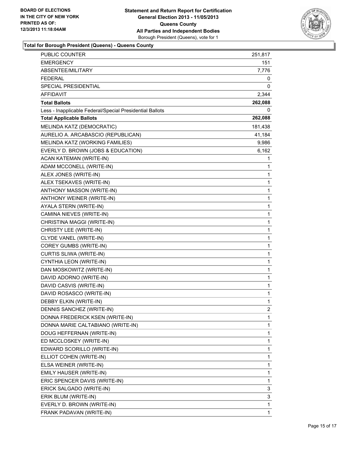

## **Total for Borough President (Queens) - Queens County**

| PUBLIC COUNTER                                           | 251,817 |
|----------------------------------------------------------|---------|
| <b>EMERGENCY</b>                                         | 151     |
| ABSENTEE/MILITARY                                        | 7,776   |
| FEDERAL                                                  | 0       |
| SPECIAL PRESIDENTIAL                                     | 0       |
| AFFIDAVIT                                                | 2,344   |
| <b>Total Ballots</b>                                     | 262,088 |
| Less - Inapplicable Federal/Special Presidential Ballots | 0       |
| <b>Total Applicable Ballots</b>                          | 262,088 |
| MELINDA KATZ (DEMOCRATIC)                                | 181,438 |
| AURELIO A. ARCABASCIO (REPUBLICAN)                       | 41,184  |
| MELINDA KATZ (WORKING FAMILIES)                          | 9,986   |
| EVERLY D. BROWN (JOBS & EDUCATION)                       | 6,162   |
| ACAN KATEMAN (WRITE-IN)                                  | 1       |
| ADAM MCCONELL (WRITE-IN)                                 | 1       |
| ALEX JONES (WRITE-IN)                                    | 1       |
| ALEX TSEKAVES (WRITE-IN)                                 | 1       |
| ANTHONY MASSON (WRITE-IN)                                | 1       |
| ANTHONY WEINER (WRITE-IN)                                | 1       |
| AYALA STERN (WRITE-IN)                                   | 1       |
| CAMINA NIEVES (WRITE-IN)                                 | 1       |
| CHRISTINA MAGGI (WRITE-IN)                               | 1       |
| CHRISTY LEE (WRITE-IN)                                   | 1       |
| CLYDE VANEL (WRITE-IN)                                   | 1       |
| COREY GUMBS (WRITE-IN)                                   | 1       |
| CURTIS SLIWA (WRITE-IN)                                  | 1       |
| CYNTHIA LEON (WRITE-IN)                                  | 1       |
| DAN MOSKOWITZ (WRITE-IN)                                 | 1       |
| DAVID ADORNO (WRITE-IN)                                  | 1       |
| DAVID CASVIS (WRITE-IN)                                  | 1       |
| DAVID ROSASCO (WRITE-IN)                                 | 1       |
| DEBBY ELKIN (WRITE-IN)                                   | 1       |
| DENNIS SANCHEZ (WRITE-IN)                                | 2       |
| DONNA FREDERICK KSEN (WRITE-IN)                          | 1       |
| DONNA MARIE CALTABIANO (WRITE-IN)                        | 1       |
| DOUG HEFFERNAN (WRITE-IN)                                | 1       |
| ED MCCLOSKEY (WRITE-IN)                                  | 1       |
| EDWARD SCORILLO (WRITE-IN)                               | 1       |
| ELLIOT COHEN (WRITE-IN)                                  | 1       |
| ELSA WEINER (WRITE-IN)                                   | 1       |
| EMILY HAUSER (WRITE-IN)                                  | 1       |
| ERIC SPENCER DAVIS (WRITE-IN)                            | 1       |
| ERICK SALGADO (WRITE-IN)                                 | 3       |
| ERIK BLUM (WRITE-IN)                                     | 3       |
| EVERLY D. BROWN (WRITE-IN)                               | 1       |
| FRANK PADAVAN (WRITE-IN)                                 | 1       |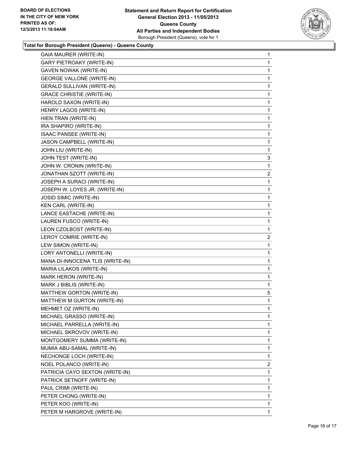

## **Total for Borough President (Queens) - Queens County**

| <b>GAIA MAURER (WRITE-IN)</b>     | 1              |
|-----------------------------------|----------------|
| <b>GARY PIETROAKY (WRITE-IN)</b>  | 1              |
| <b>GAVEN NOWAK (WRITE-IN)</b>     | 1              |
| <b>GEORGE VALLONE (WRITE-IN)</b>  | 1              |
| <b>GERALD SULLIVAN (WRITE-IN)</b> | 1              |
| <b>GRACE CHRISTIE (WRITE-IN)</b>  | 1              |
| HAROLD SAXON (WRITE-IN)           | 1              |
| HENRY LAGOS (WRITE-IN)            | 1              |
| HIEN TRAN (WRITE-IN)              | 1              |
| IRA SHAPIRO (WRITE-IN)            | 1              |
| <b>ISAAC PANSEE (WRITE-IN)</b>    | 1              |
| JASON CAMPBELL (WRITE-IN)         | 1              |
| JOHN LIU (WRITE-IN)               | 1              |
| JOHN TEST (WRITE-IN)              | 3              |
| JOHN W. CRONIN (WRITE-IN)         | 1              |
| JONATHAN SZOTT (WRITE-IN)         | 2              |
| JOSEPH A SURACI (WRITE-IN)        | 1              |
| JOSEPH W. LOYES JR. (WRITE-IN)    | 1              |
| JOSID SIMIC (WRITE-IN)            | 1              |
| KEN CARL (WRITE-IN)               | 1              |
| LANCE EASTACHE (WRITE-IN)         | 1              |
| LAUREN FUSCO (WRITE-IN)           | 1              |
| LEON CZOLBOST (WRITE-IN)          | 1              |
| LEROY COMRIE (WRITE-IN)           | $\overline{2}$ |
| LEW SIMON (WRITE-IN)              | 1              |
| LORY ANTONELLI (WRITE-IN)         | 1              |
| MANA DI-INNOCENA TLIS (WRITE-IN)  | 1              |
| MARIA LILAKOS (WRITE-IN)          | 1              |
| MARK HERON (WRITE-IN)             | 1              |
| MARK J BIBLIS (WRITE-IN)          | 1              |
| MATTHEW GORTON (WRITE-IN)         | 5              |
| MATTHEW M GURTON (WRITE-IN)       | 1              |
| MEHMET OZ (WRITE-IN)              | 1              |
| MICHAEL GRASSO (WRITE-IN)         | 1              |
| MICHAEL PARRELLA (WRITE-IN)       | 1              |
| MICHAEL SKROVOV (WRITE-IN)        | 1              |
| MONTGOMERY SUMMA (WRITE-IN)       | 1              |
| MUMIA ABU-SAMAL (WRITE-IN)        | 1              |
| NECHONGE LOCH (WRITE-IN)          | 1              |
| NOEL POLANCO (WRITE-IN)           | $\overline{2}$ |
| PATRICIA CAYO SEXTON (WRITE-IN)   | 1              |
| PATRICK SETNOFF (WRITE-IN)        | 1              |
| PAUL CRIMI (WRITE-IN)             | 1              |
| PETER CHONG (WRITE-IN)            | 1              |
| PETER KOO (WRITE-IN)              | 1              |
| PETER M HARGROVE (WRITE-IN)       | 1              |